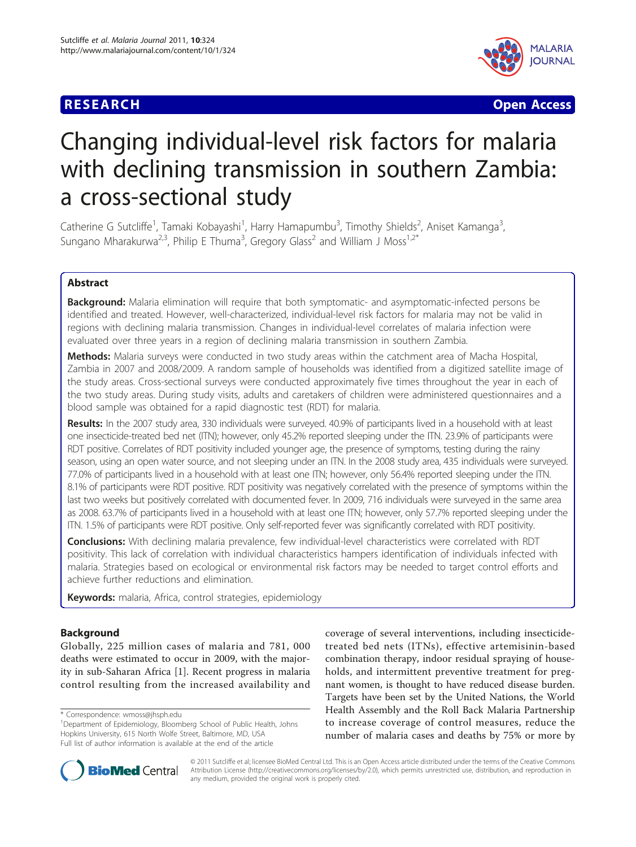## **RESEARCH CONSTRUCTION CONSTRUCTS**



# Changing individual-level risk factors for malaria with declining transmission in southern Zambia: a cross-sectional study

Catherine G Sutcliffe<sup>1</sup>, Tamaki Kobayashi<sup>1</sup>, Harry Hamapumbu<sup>3</sup>, Timothy Shields<sup>2</sup>, Aniset Kamanga<sup>3</sup> , Sungano Mharakurwa<sup>2,3</sup>, Philip E Thuma<sup>3</sup>, Gregory Glass<sup>2</sup> and William J Moss<sup>1,2\*</sup>

## Abstract

**Background:** Malaria elimination will require that both symptomatic- and asymptomatic-infected persons be identified and treated. However, well-characterized, individual-level risk factors for malaria may not be valid in regions with declining malaria transmission. Changes in individual-level correlates of malaria infection were evaluated over three years in a region of declining malaria transmission in southern Zambia.

Methods: Malaria surveys were conducted in two study areas within the catchment area of Macha Hospital, Zambia in 2007 and 2008/2009. A random sample of households was identified from a digitized satellite image of the study areas. Cross-sectional surveys were conducted approximately five times throughout the year in each of the two study areas. During study visits, adults and caretakers of children were administered questionnaires and a blood sample was obtained for a rapid diagnostic test (RDT) for malaria.

Results: In the 2007 study area, 330 individuals were surveyed. 40.9% of participants lived in a household with at least one insecticide-treated bed net (ITN); however, only 45.2% reported sleeping under the ITN. 23.9% of participants were RDT positive. Correlates of RDT positivity included younger age, the presence of symptoms, testing during the rainy season, using an open water source, and not sleeping under an ITN. In the 2008 study area, 435 individuals were surveyed. 77.0% of participants lived in a household with at least one ITN; however, only 56.4% reported sleeping under the ITN. 8.1% of participants were RDT positive. RDT positivity was negatively correlated with the presence of symptoms within the last two weeks but positively correlated with documented fever. In 2009, 716 individuals were surveyed in the same area as 2008. 63.7% of participants lived in a household with at least one ITN; however, only 57.7% reported sleeping under the ITN. 1.5% of participants were RDT positive. Only self-reported fever was significantly correlated with RDT positivity.

Conclusions: With declining malaria prevalence, few individual-level characteristics were correlated with RDT positivity. This lack of correlation with individual characteristics hampers identification of individuals infected with malaria. Strategies based on ecological or environmental risk factors may be needed to target control efforts and achieve further reductions and elimination.

Keywords: malaria, Africa, control strategies, epidemiology

## Background

Globally, 225 million cases of malaria and 781, 000 deaths were estimated to occur in 2009, with the majority in sub-Saharan Africa [[1\]](#page-8-0). Recent progress in malaria control resulting from the increased availability and

\* Correspondence: [wmoss@jhsph.edu](mailto:wmoss@jhsph.edu)

coverage of several interventions, including insecticidetreated bed nets (ITNs), effective artemisinin-based combination therapy, indoor residual spraying of households, and intermittent preventive treatment for pregnant women, is thought to have reduced disease burden. Targets have been set by the United Nations, the World Health Assembly and the Roll Back Malaria Partnership to increase coverage of control measures, reduce the number of malaria cases and deaths by 75% or more by



© 2011 Sutcliffe et al; licensee BioMed Central Ltd. This is an Open Access article distributed under the terms of the Creative Commons Attribution License [\(http://creativecommons.org/licenses/by/2.0](http://creativecommons.org/licenses/by/2.0)), which permits unrestricted use, distribution, and reproduction in any medium, provided the original work is properly cited.

<sup>&</sup>lt;sup>1</sup>Department of Epidemiology, Bloomberg School of Public Health, Johns Hopkins University, 615 North Wolfe Street, Baltimore, MD, USA Full list of author information is available at the end of the article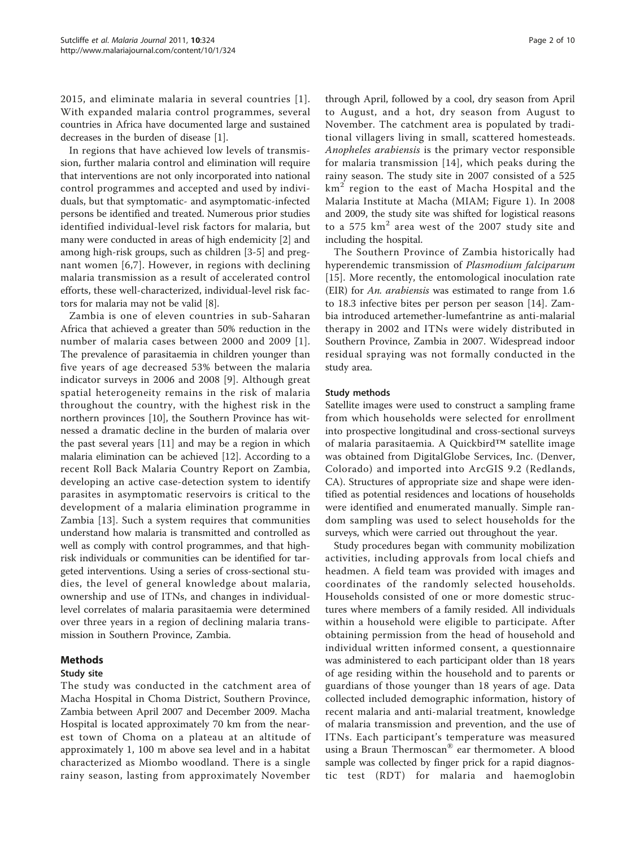2015, and eliminate malaria in several countries [[1\]](#page-8-0). With expanded malaria control programmes, several countries in Africa have documented large and sustained decreases in the burden of disease [[1\]](#page-8-0).

In regions that have achieved low levels of transmission, further malaria control and elimination will require that interventions are not only incorporated into national control programmes and accepted and used by individuals, but that symptomatic- and asymptomatic-infected persons be identified and treated. Numerous prior studies identified individual-level risk factors for malaria, but many were conducted in areas of high endemicity [[2\]](#page-8-0) and among high-risk groups, such as children [[3-5](#page-8-0)] and pregnant women [[6](#page-8-0),[7\]](#page-8-0). However, in regions with declining malaria transmission as a result of accelerated control efforts, these well-characterized, individual-level risk factors for malaria may not be valid [\[8](#page-8-0)].

Zambia is one of eleven countries in sub-Saharan Africa that achieved a greater than 50% reduction in the number of malaria cases between 2000 and 2009 [[1\]](#page-8-0). The prevalence of parasitaemia in children younger than five years of age decreased 53% between the malaria indicator surveys in 2006 and 2008 [[9\]](#page-8-0). Although great spatial heterogeneity remains in the risk of malaria throughout the country, with the highest risk in the northern provinces [\[10](#page-8-0)], the Southern Province has witnessed a dramatic decline in the burden of malaria over the past several years [[11](#page-9-0)] and may be a region in which malaria elimination can be achieved [[12\]](#page-9-0). According to a recent Roll Back Malaria Country Report on Zambia, developing an active case-detection system to identify parasites in asymptomatic reservoirs is critical to the development of a malaria elimination programme in Zambia [[13](#page-9-0)]. Such a system requires that communities understand how malaria is transmitted and controlled as well as comply with control programmes, and that highrisk individuals or communities can be identified for targeted interventions. Using a series of cross-sectional studies, the level of general knowledge about malaria, ownership and use of ITNs, and changes in individuallevel correlates of malaria parasitaemia were determined over three years in a region of declining malaria transmission in Southern Province, Zambia.

## Methods

#### Study site

The study was conducted in the catchment area of Macha Hospital in Choma District, Southern Province, Zambia between April 2007 and December 2009. Macha Hospital is located approximately 70 km from the nearest town of Choma on a plateau at an altitude of approximately 1, 100 m above sea level and in a habitat characterized as Miombo woodland. There is a single rainy season, lasting from approximately November

through April, followed by a cool, dry season from April to August, and a hot, dry season from August to November. The catchment area is populated by traditional villagers living in small, scattered homesteads. Anopheles arabiensis is the primary vector responsible for malaria transmission [\[14\]](#page-9-0), which peaks during the rainy season. The study site in 2007 consisted of a 525  $km<sup>2</sup>$  region to the east of Macha Hospital and the Malaria Institute at Macha (MIAM; Figure [1\)](#page-2-0). In 2008 and 2009, the study site was shifted for logistical reasons to a 575  $km^2$  area west of the 2007 study site and including the hospital.

The Southern Province of Zambia historically had hyperendemic transmission of Plasmodium falciparum [[15](#page-9-0)]. More recently, the entomological inoculation rate (EIR) for An. arabiensis was estimated to range from 1.6 to 18.3 infective bites per person per season [\[14](#page-9-0)]. Zambia introduced artemether-lumefantrine as anti-malarial therapy in 2002 and ITNs were widely distributed in Southern Province, Zambia in 2007. Widespread indoor residual spraying was not formally conducted in the study area.

#### Study methods

Satellite images were used to construct a sampling frame from which households were selected for enrollment into prospective longitudinal and cross-sectional surveys of malaria parasitaemia. A Quickbird™ satellite image was obtained from DigitalGlobe Services, Inc. (Denver, Colorado) and imported into ArcGIS 9.2 (Redlands, CA). Structures of appropriate size and shape were identified as potential residences and locations of households were identified and enumerated manually. Simple random sampling was used to select households for the surveys, which were carried out throughout the year.

Study procedures began with community mobilization activities, including approvals from local chiefs and headmen. A field team was provided with images and coordinates of the randomly selected households. Households consisted of one or more domestic structures where members of a family resided. All individuals within a household were eligible to participate. After obtaining permission from the head of household and individual written informed consent, a questionnaire was administered to each participant older than 18 years of age residing within the household and to parents or guardians of those younger than 18 years of age. Data collected included demographic information, history of recent malaria and anti-malarial treatment, knowledge of malaria transmission and prevention, and the use of ITNs. Each participant's temperature was measured using a Braun Thermoscan® ear thermometer. A blood sample was collected by finger prick for a rapid diagnostic test (RDT) for malaria and haemoglobin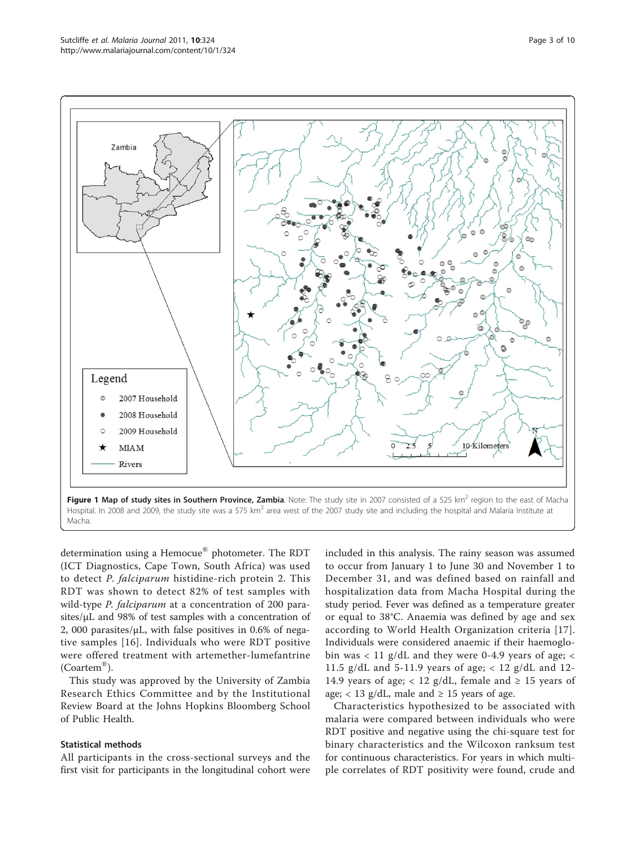<span id="page-2-0"></span>

Hospital. In 2008 and 2009, the study site was a 575 km<sup>2</sup> area west of the 2007 study site and including the hospital and Malaria Institute at Macha.

determination using a Hemocue® photometer. The RDT (ICT Diagnostics, Cape Town, South Africa) was used to detect P. falciparum histidine-rich protein 2. This RDT was shown to detect 82% of test samples with wild-type *P. falciparum* at a concentration of 200 parasites/μL and 98% of test samples with a concentration of 2, 000 parasites/μL, with false positives in 0.6% of negative samples [[16](#page-9-0)]. Individuals who were RDT positive were offered treatment with artemether-lumefantrine (Coartem®).

This study was approved by the University of Zambia Research Ethics Committee and by the Institutional Review Board at the Johns Hopkins Bloomberg School of Public Health.

#### Statistical methods

All participants in the cross-sectional surveys and the first visit for participants in the longitudinal cohort were

included in this analysis. The rainy season was assumed to occur from January 1 to June 30 and November 1 to December 31, and was defined based on rainfall and hospitalization data from Macha Hospital during the study period. Fever was defined as a temperature greater or equal to 38°C. Anaemia was defined by age and sex according to World Health Organization criteria [[17](#page-9-0)]. Individuals were considered anaemic if their haemoglobin was < 11 g/dL and they were 0-4.9 years of age; < 11.5 g/dL and 5-11.9 years of age;  $< 12$  g/dL and 12-14.9 years of age; < 12 g/dL, female and  $\geq$  15 years of age;  $< 13$  g/dL, male and  $\geq 15$  years of age.

Characteristics hypothesized to be associated with malaria were compared between individuals who were RDT positive and negative using the chi-square test for binary characteristics and the Wilcoxon ranksum test for continuous characteristics. For years in which multiple correlates of RDT positivity were found, crude and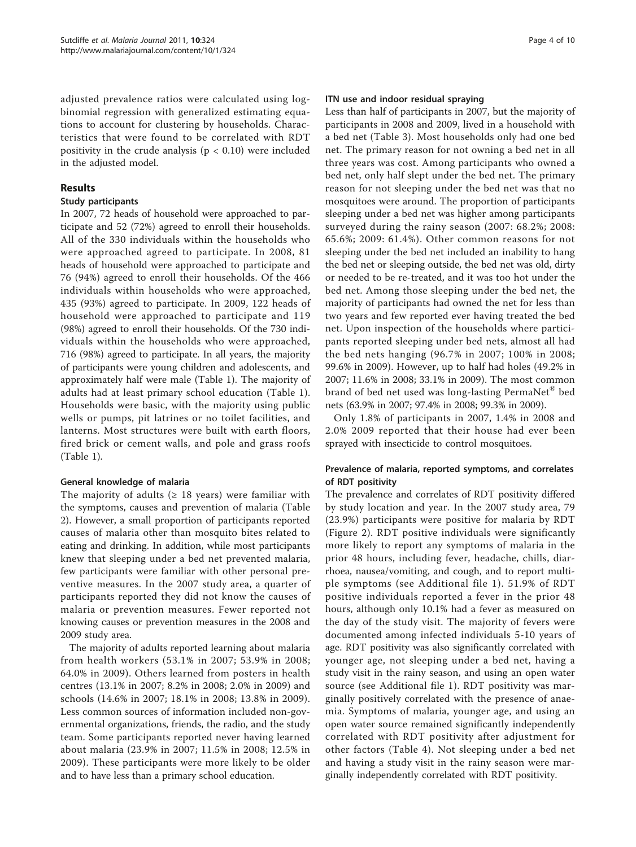adjusted prevalence ratios were calculated using logbinomial regression with generalized estimating equations to account for clustering by households. Characteristics that were found to be correlated with RDT positivity in the crude analysis ( $p < 0.10$ ) were included in the adjusted model.

#### Results

#### Study participants

In 2007, 72 heads of household were approached to participate and 52 (72%) agreed to enroll their households. All of the 330 individuals within the households who were approached agreed to participate. In 2008, 81 heads of household were approached to participate and 76 (94%) agreed to enroll their households. Of the 466 individuals within households who were approached, 435 (93%) agreed to participate. In 2009, 122 heads of household were approached to participate and 119 (98%) agreed to enroll their households. Of the 730 individuals within the households who were approached, 716 (98%) agreed to participate. In all years, the majority of participants were young children and adolescents, and approximately half were male (Table [1\)](#page-4-0). The majority of adults had at least primary school education (Table [1](#page-4-0)). Households were basic, with the majority using public wells or pumps, pit latrines or no toilet facilities, and lanterns. Most structures were built with earth floors, fired brick or cement walls, and pole and grass roofs (Table [1\)](#page-4-0).

## General knowledge of malaria

The majority of adults ( $\geq$  18 years) were familiar with the symptoms, causes and prevention of malaria (Table [2\)](#page-5-0). However, a small proportion of participants reported causes of malaria other than mosquito bites related to eating and drinking. In addition, while most participants knew that sleeping under a bed net prevented malaria, few participants were familiar with other personal preventive measures. In the 2007 study area, a quarter of participants reported they did not know the causes of malaria or prevention measures. Fewer reported not knowing causes or prevention measures in the 2008 and 2009 study area.

The majority of adults reported learning about malaria from health workers (53.1% in 2007; 53.9% in 2008; 64.0% in 2009). Others learned from posters in health centres (13.1% in 2007; 8.2% in 2008; 2.0% in 2009) and schools (14.6% in 2007; 18.1% in 2008; 13.8% in 2009). Less common sources of information included non-governmental organizations, friends, the radio, and the study team. Some participants reported never having learned about malaria (23.9% in 2007; 11.5% in 2008; 12.5% in 2009). These participants were more likely to be older and to have less than a primary school education.

#### ITN use and indoor residual spraying

Less than half of participants in 2007, but the majority of participants in 2008 and 2009, lived in a household with a bed net (Table [3\)](#page-6-0). Most households only had one bed net. The primary reason for not owning a bed net in all three years was cost. Among participants who owned a bed net, only half slept under the bed net. The primary reason for not sleeping under the bed net was that no mosquitoes were around. The proportion of participants sleeping under a bed net was higher among participants surveyed during the rainy season (2007: 68.2%; 2008: 65.6%; 2009: 61.4%). Other common reasons for not sleeping under the bed net included an inability to hang the bed net or sleeping outside, the bed net was old, dirty or needed to be re-treated, and it was too hot under the bed net. Among those sleeping under the bed net, the majority of participants had owned the net for less than two years and few reported ever having treated the bed net. Upon inspection of the households where participants reported sleeping under bed nets, almost all had the bed nets hanging (96.7% in 2007; 100% in 2008; 99.6% in 2009). However, up to half had holes (49.2% in 2007; 11.6% in 2008; 33.1% in 2009). The most common brand of bed net used was long-lasting PermaNet® bed nets (63.9% in 2007; 97.4% in 2008; 99.3% in 2009).

Only 1.8% of participants in 2007, 1.4% in 2008 and 2.0% 2009 reported that their house had ever been sprayed with insecticide to control mosquitoes.

## Prevalence of malaria, reported symptoms, and correlates of RDT positivity

The prevalence and correlates of RDT positivity differed by study location and year. In the 2007 study area, 79 (23.9%) participants were positive for malaria by RDT (Figure [2\)](#page-7-0). RDT positive individuals were significantly more likely to report any symptoms of malaria in the prior 48 hours, including fever, headache, chills, diarrhoea, nausea/vomiting, and cough, and to report multiple symptoms (see Additional file [1](#page-8-0)). 51.9% of RDT positive individuals reported a fever in the prior 48 hours, although only 10.1% had a fever as measured on the day of the study visit. The majority of fevers were documented among infected individuals 5-10 years of age. RDT positivity was also significantly correlated with younger age, not sleeping under a bed net, having a study visit in the rainy season, and using an open water source (see Additional file [1\)](#page-8-0). RDT positivity was marginally positively correlated with the presence of anaemia. Symptoms of malaria, younger age, and using an open water source remained significantly independently correlated with RDT positivity after adjustment for other factors (Table [4\)](#page-7-0). Not sleeping under a bed net and having a study visit in the rainy season were marginally independently correlated with RDT positivity.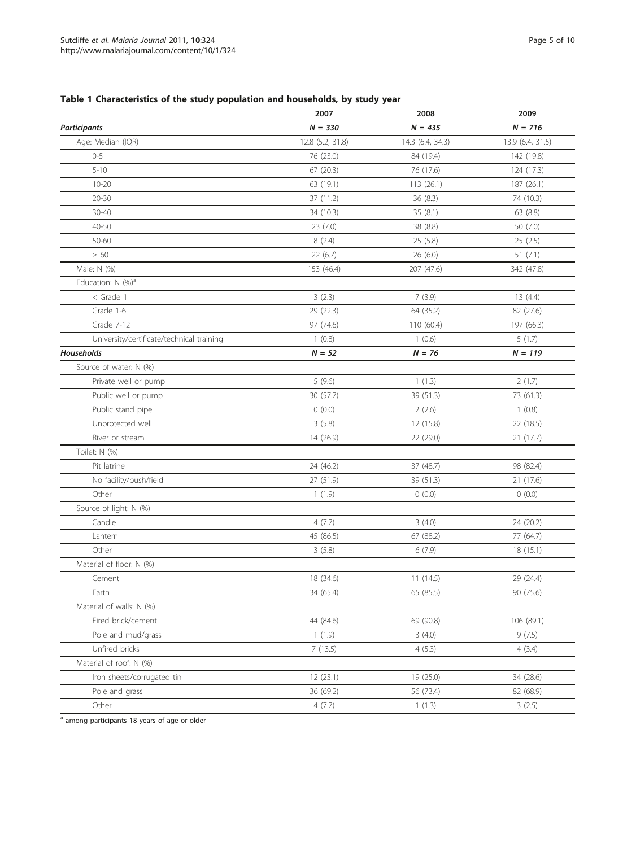## <span id="page-4-0"></span>Table 1 Characteristics of the study population and households, by study year

|                                           | 2007             | 2008             | 2009             |
|-------------------------------------------|------------------|------------------|------------------|
| <b>Participants</b>                       | $N = 330$        | $N = 435$        | $N = 716$        |
| Age: Median (IQR)                         | 12.8 (5.2, 31.8) | 14.3 (6.4, 34.3) | 13.9 (6.4, 31.5) |
| $0 - 5$                                   | 76 (23.0)        | 84 (19.4)        | 142 (19.8)       |
| $5 - 10$                                  | 67(20.3)         | 76 (17.6)        | 124 (17.3)       |
| $10 - 20$                                 | 63 (19.1)        | 113(26.1)        | 187 (26.1)       |
| $20 - 30$                                 | 37 (11.2)        | 36(8.3)          | 74 (10.3)        |
| $30 - 40$                                 | 34 (10.3)        | 35(8.1)          | 63 (8.8)         |
| 40-50                                     | 23(7.0)          | 38 (8.8)         | 50(7.0)          |
| 50-60                                     | 8(2.4)           | 25(5.8)          | 25(2.5)          |
| $\geq 60$                                 | 22(6.7)          | 26(6.0)          | 51(7.1)          |
| Male: N (%)                               | 153 (46.4)       | 207 (47.6)       | 342 (47.8)       |
| Education: N (%) <sup>a</sup>             |                  |                  |                  |
| $<$ Grade 1                               | 3(2.3)           | 7(3.9)           | 13(4.4)          |
| Grade 1-6                                 | 29 (22.3)        | 64 (35.2)        | 82 (27.6)        |
| Grade 7-12                                | 97 (74.6)        | 110(60.4)        | 197 (66.3)       |
| University/certificate/technical training | 1(0.8)           | 1(0.6)           | 5(1.7)           |
| Households                                | $N = 52$         | $N = 76$         | $N = 119$        |
| Source of water: N (%)                    |                  |                  |                  |
| Private well or pump                      | 5(9.6)           | 1(1.3)           | 2(1.7)           |
| Public well or pump                       | 30 (57.7)        | 39 (51.3)        | 73 (61.3)        |
| Public stand pipe                         | 0(0.0)           | 2(2.6)           | 1(0.8)           |
| Unprotected well                          | 3(5.8)           | 12 (15.8)        | 22 (18.5)        |
| River or stream                           | 14 (26.9)        | 22 (29.0)        | 21 (17.7)        |
| Toilet: N (%)                             |                  |                  |                  |
| Pit latrine                               | 24 (46.2)        | 37 (48.7)        | 98 (82.4)        |
| No facility/bush/field                    | 27 (51.9)        | 39 (51.3)        | 21 (17.6)        |
| Other                                     | 1(1.9)           | 0(0.0)           | 0(0.0)           |
| Source of light: N (%)                    |                  |                  |                  |
| Candle                                    | 4(7.7)           | 3(4.0)           | 24 (20.2)        |
| Lantern                                   | 45 (86.5)        | 67 (88.2)        | 77 (64.7)        |
| Other                                     | 3(5.8)           | 6(7.9)           | 18(15.1)         |
| Material of floor: N (%)                  |                  |                  |                  |
| Cement                                    | 18 (34.6)        | 11(14.5)         | 29 (24.4)        |
| Earth                                     | 34 (65.4)        | 65 (85.5)        | 90 (75.6)        |
| Material of walls: N (%)                  |                  |                  |                  |
| Fired brick/cement                        | 44 (84.6)        | 69 (90.8)        | 106 (89.1)       |
| Pole and mud/grass                        | 1(1.9)           | 3(4.0)           | 9(7.5)           |
| Unfired bricks                            | 7(13.5)          | 4(5.3)           | 4(3.4)           |
| Material of roof: N (%)                   |                  |                  |                  |
| Iron sheets/corrugated tin                | 12(23.1)         | 19(25.0)         | 34 (28.6)        |
| Pole and grass                            | 36 (69.2)        | 56 (73.4)        | 82 (68.9)        |
| Other                                     | 4(7.7)           | 1(1.3)           | 3(2.5)           |

a among participants 18 years of age or older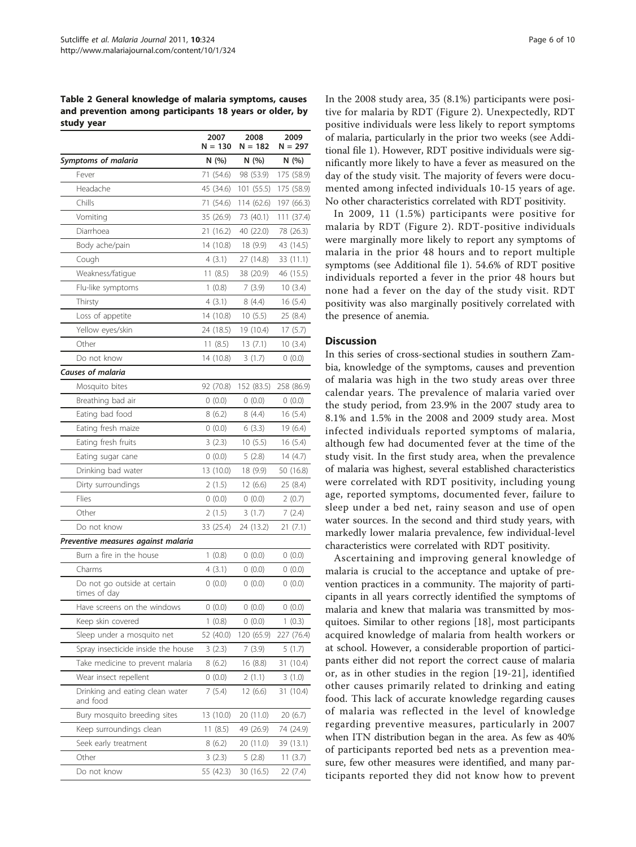<span id="page-5-0"></span>Table 2 General knowledge of malaria symptoms, causes and prevention among participants 18 years or older, by study year

|                                              | 2007<br>$N = 130$ | 2008<br>N = 182 | 2009<br>$N = 297$ |
|----------------------------------------------|-------------------|-----------------|-------------------|
| Symptoms of malaria                          | N(%)              | N(%)            | N (%)             |
| Fever                                        | 71 (54.6)         | 98 (53.9)       | 175 (58.9)        |
| Headache                                     | 45 (34.6)         | 101 (55.5)      | 175 (58.9)        |
| Chills                                       | 71 (54.6)         | 114 (62.6)      | 197 (66.3)        |
| Vomiting                                     | 35 (26.9)         | 73 (40.1)       | 111 (37.4)        |
| Diarrhoea                                    | 21 (16.2)         | 40 (22.0)       | 78 (26.3)         |
| Body ache/pain                               | 14 (10.8)         | 18 (9.9)        | 43 (14.5)         |
| Cough                                        | 4(3.1)            | 27 (14.8)       | 33 (11.1)         |
| Weakness/fatique                             | 11(8.5)           | 38 (20.9)       | 46 (15.5)         |
| Flu-like symptoms                            | 1(0.8)            | 7(3.9)          | 10(3.4)           |
| Thirsty                                      | 4 (3.1)           | 8 (4.4)         | 16(5.4)           |
| Loss of appetite                             | 14 (10.8)         | 10(5.5)         | 25 (8.4)          |
| Yellow eyes/skin                             | 24 (18.5)         | 19 (10.4)       | 17(5.7)           |
| Other                                        | 11(8.5)           | 13(7.1)         | 10(3.4)           |
| Do not know                                  | 14 (10.8)         | 3(1.7)          | 0(0.0)            |
| <b>Causes of malaria</b>                     |                   |                 |                   |
| Mosquito bites                               | 92 (70.8)         | 152 (83.5)      | 258 (86.9)        |
| Breathing bad air                            | 0(0.0)            | 0(0.0)          | 0(0.0)            |
| Eating bad food                              | 8(6.2)            | 8(4.4)          | 16(5.4)           |
| Eating fresh maize                           | 0(0.0)            | 6(3.3)          | 19 (6.4)          |
| Eating fresh fruits                          | 3(2.3)            | 10(5.5)         | 16(5.4)           |
| Eating sugar cane                            | 0(0.0)            | 5(2.8)          | 14 (4.7)          |
| Drinking bad water                           | 13 (10.0)         | 18 (9.9)        | 50 (16.8)         |
| Dirty surroundings                           | 2(1.5)            | 12(6.6)         | 25 (8.4)          |
| Flies                                        | 0(0.0)            | 0(0.0)          | 2(0.7)            |
| Other                                        | 2(1.5)            | 3(1.7)          | 7 (2.4)           |
| Do not know                                  | 33 (25.4)         | 24 (13.2)       | 21(7.1)           |
| Preventive measures against malaria          |                   |                 |                   |
| Burn a fire in the house                     | 1(0.8)            | 0(0.0)          | 0(0.0)            |
| Charms                                       | 4(3.1)            | 0(0.0)          | 0(0.0)            |
| Do not go outside at certain<br>times of day | 0(0.0)            | 0(0.0)          | 0(0.0)            |
| Have screens on the windows                  | 0(0.0)            | 0(0.0)          | 0(0.0)            |
| Keep skin covered                            | 1(0.8)            | 0(0.0)          | 1(0.3)            |
| Sleep under a mosquito net                   | 52 (40.0)         | 120 (65.9)      | 227 (76.4)        |
| Spray insecticide inside the house           | 3(2.3)            | 7(3.9)          | 5 (1.7)           |
| Take medicine to prevent malaria             | 8(6.2)            | 16 (8.8)        | 31 (10.4)         |
| Wear insect repellent                        | (0.0)             | 2(1.1)          | 3(1.0)            |
| Drinking and eating clean water<br>and food  | 7(5.4)            | 12 (6.6)        | 31 (10.4)         |
| Bury mosquito breeding sites                 | 13 (10.0)         | 20 (11.0)       | 20 (6.7)          |
| Keep surroundings clean                      | 11 (8.5)          | 49 (26.9)       | 74 (24.9)         |
| Seek early treatment                         | 8(6.2)            | 20 (11.0)       | 39 (13.1)         |
| Other                                        | 3(2.3)            | 5(2.8)          | 11 $(3.7)$        |
| Do not know                                  | 55 (42.3)         | 30 (16.5)       | 22 (7.4)          |

In the 2008 study area, 35 (8.1%) participants were positive for malaria by RDT (Figure [2\)](#page-7-0). Unexpectedly, RDT positive individuals were less likely to report symptoms of malaria, particularly in the prior two weeks (see Additional file [1](#page-8-0)). However, RDT positive individuals were significantly more likely to have a fever as measured on the day of the study visit. The majority of fevers were documented among infected individuals 10-15 years of age. No other characteristics correlated with RDT positivity.

In 2009, 11 (1.5%) participants were positive for malaria by RDT (Figure [2](#page-7-0)). RDT-positive individuals were marginally more likely to report any symptoms of malaria in the prior 48 hours and to report multiple symptoms (see Additional file [1\)](#page-8-0). 54.6% of RDT positive individuals reported a fever in the prior 48 hours but none had a fever on the day of the study visit. RDT positivity was also marginally positively correlated with the presence of anemia.

#### **Discussion**

In this series of cross-sectional studies in southern Zambia, knowledge of the symptoms, causes and prevention of malaria was high in the two study areas over three calendar years. The prevalence of malaria varied over the study period, from 23.9% in the 2007 study area to 8.1% and 1.5% in the 2008 and 2009 study area. Most infected individuals reported symptoms of malaria, although few had documented fever at the time of the study visit. In the first study area, when the prevalence of malaria was highest, several established characteristics were correlated with RDT positivity, including young age, reported symptoms, documented fever, failure to sleep under a bed net, rainy season and use of open water sources. In the second and third study years, with markedly lower malaria prevalence, few individual-level characteristics were correlated with RDT positivity.

Ascertaining and improving general knowledge of malaria is crucial to the acceptance and uptake of prevention practices in a community. The majority of participants in all years correctly identified the symptoms of malaria and knew that malaria was transmitted by mosquitoes. Similar to other regions [\[18](#page-9-0)], most participants acquired knowledge of malaria from health workers or at school. However, a considerable proportion of participants either did not report the correct cause of malaria or, as in other studies in the region [[19](#page-9-0)-[21](#page-9-0)], identified other causes primarily related to drinking and eating food. This lack of accurate knowledge regarding causes of malaria was reflected in the level of knowledge regarding preventive measures, particularly in 2007 when ITN distribution began in the area. As few as 40% of participants reported bed nets as a prevention measure, few other measures were identified, and many participants reported they did not know how to prevent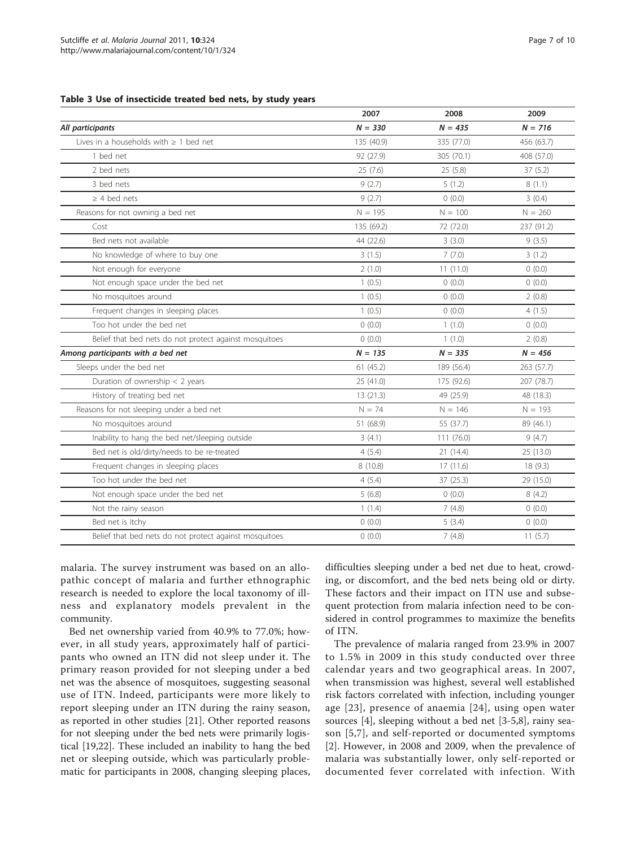#### <span id="page-6-0"></span>Table 3 Use of insecticide treated bed nets, by study years

|                                                        | 2007       | 2008       | 2009       |
|--------------------------------------------------------|------------|------------|------------|
| All participants                                       | $N = 330$  | $N = 435$  | $N = 716$  |
| Lives in a households with $\geq 1$ bed net            | 135 (40.9) | 335 (77.0) | 456 (63.7) |
| 1 bed net                                              | 92 (27.9)  | 305 (70.1) | 408 (57.0) |
| 2 bed nets                                             | 25(7.6)    | 25(5.8)    | 37(5.2)    |
| 3 bed nets                                             | 9(2.7)     | 5(1.2)     | 8(1.1)     |
| $\geq$ 4 bed nets                                      | 9(2.7)     | 0(0.0)     | 3(0.4)     |
| Reasons for not owning a bed net                       | $N = 195$  | $N = 100$  | $N = 260$  |
| Cost                                                   | 135 (69.2) | 72 (72.0)  | 237 (91.2) |
| Bed nets not available                                 | 44 (22.6)  | 3(3.0)     | 9(3.5)     |
| No knowledge of where to buy one                       | 3(1.5)     | 7(7.0)     | 3(1.2)     |
| Not enough for everyone                                | 2(1.0)     | 11(11.0)   | 0(0.0)     |
| Not enough space under the bed net                     | 1(0.5)     | 0(0.0)     | 0(0.0)     |
| No mosquitoes around                                   | 1(0.5)     | 0(0.0)     | 2(0.8)     |
| Frequent changes in sleeping places                    | 1(0.5)     | 0(0.0)     | 4(1.5)     |
| Too hot under the bed net                              | 0(0.0)     | 1(1.0)     | 0(0.0)     |
| Belief that bed nets do not protect against mosquitoes | 0(0.0)     | 1(1.0)     | 2(0.8)     |
| Among participants with a bed net                      | $N = 135$  | $N = 335$  | $N = 456$  |
| Sleeps under the bed net                               | 61(45.2)   | 189 (56.4) | 263 (57.7) |
| Duration of ownership $<$ 2 years                      | 25 (41.0)  | 175 (92.6) | 207 (78.7) |
| History of treating bed net                            | 13(21.3)   | 49 (25.9)  | 48 (18.3)  |
| Reasons for not sleeping under a bed net               | $N = 74$   | $N = 146$  | $N = 193$  |
| No mosquitoes around                                   | 51 (68.9)  | 55 (37.7)  | 89 (46.1)  |
| Inability to hang the bed net/sleeping outside         | 3(4.1)     | 111 (76.0) | 9(4.7)     |
| Bed net is old/dirty/needs to be re-treated            | 4(5.4)     | 21 (14.4)  | 25 (13.0)  |
| Frequent changes in sleeping places                    | 8 (10.8)   | 17(11.6)   | 18 (9.3)   |
| Too hot under the bed net                              | 4(5.4)     | 37 (25.3)  | 29 (15.0)  |
| Not enough space under the bed net                     | 5(6.8)     | 0(0.0)     | 8(4.2)     |
| Not the rainy season                                   | 1(1.4)     | 7(4.8)     | 0(0.0)     |
| Bed net is itchy                                       | 0(0.0)     | 5(3.4)     | 0(0.0)     |
| Belief that bed nets do not protect against mosquitoes | 0(0.0)     | 7(4.8)     | 11(5.7)    |

malaria. The survey instrument was based on an allopathic concept of malaria and further ethnographic research is needed to explore the local taxonomy of illness and explanatory models prevalent in the community.

Bed net ownership varied from 40.9% to 77.0%; however, in all study years, approximately half of participants who owned an ITN did not sleep under it. The primary reason provided for not sleeping under a bed net was the absence of mosquitoes, suggesting seasonal use of ITN. Indeed, participants were more likely to report sleeping under an ITN during the rainy season, as reported in other studies [[21](#page-9-0)]. Other reported reasons for not sleeping under the bed nets were primarily logistical [\[19,22\]](#page-9-0). These included an inability to hang the bed net or sleeping outside, which was particularly problematic for participants in 2008, changing sleeping places,

difficulties sleeping under a bed net due to heat, crowding, or discomfort, and the bed nets being old or dirty. These factors and their impact on ITN use and subsequent protection from malaria infection need to be considered in control programmes to maximize the benefits of ITN.

The prevalence of malaria ranged from 23.9% in 2007 to 1.5% in 2009 in this study conducted over three calendar years and two geographical areas. In 2007, when transmission was highest, several well established risk factors correlated with infection, including younger age [[23\]](#page-9-0), presence of anaemia [[24](#page-9-0)], using open water sources [\[4](#page-8-0)], sleeping without a bed net [\[3](#page-8-0)-[5](#page-8-0),[8](#page-8-0)], rainy season [[5,7](#page-8-0)], and self-reported or documented symptoms [[2\]](#page-8-0). However, in 2008 and 2009, when the prevalence of malaria was substantially lower, only self-reported or documented fever correlated with infection. With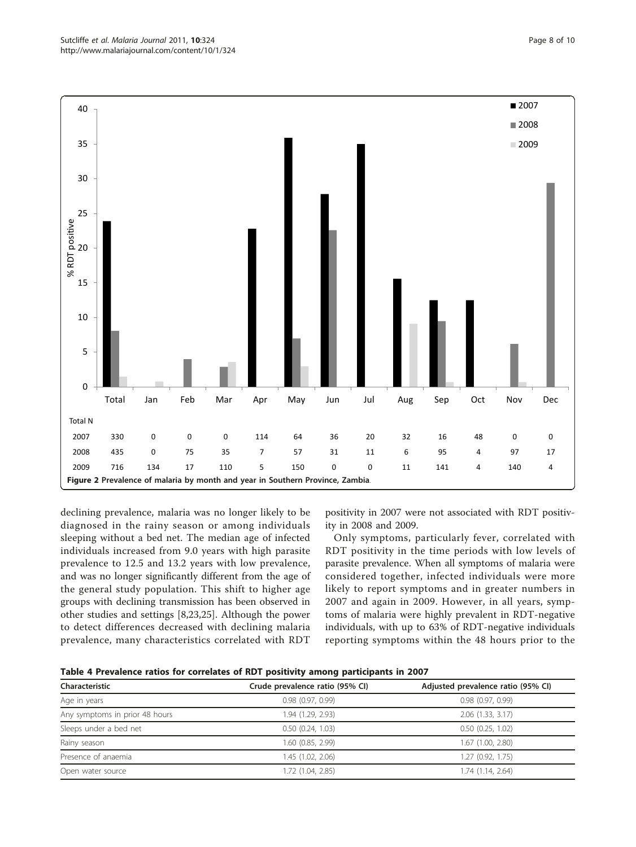declining prevalence, malaria was no longer likely to be diagnosed in the rainy season or among individuals sleeping without a bed net. The median age of infected individuals increased from 9.0 years with high parasite prevalence to 12.5 and 13.2 years with low prevalence, and was no longer significantly different from the age of the general study population. This shift to higher age groups with declining transmission has been observed in other studies and settings [[8](#page-8-0),[23](#page-9-0),[25](#page-9-0)]. Although the power to detect differences decreased with declining malaria prevalence, many characteristics correlated with RDT

positivity in 2007 were not associated with RDT positivity in 2008 and 2009.

Only symptoms, particularly fever, correlated with RDT positivity in the time periods with low levels of parasite prevalence. When all symptoms of malaria were considered together, infected individuals were more likely to report symptoms and in greater numbers in 2007 and again in 2009. However, in all years, symptoms of malaria were highly prevalent in RDT-negative individuals, with up to 63% of RDT-negative individuals reporting symptoms within the 48 hours prior to the



| Characteristic                 | Crude prevalence ratio (95% CI) | Adjusted prevalence ratio (95% CI) |
|--------------------------------|---------------------------------|------------------------------------|
| Age in years                   | 0.98(0.97, 0.99)                | 0.98(0.97, 0.99)                   |
| Any symptoms in prior 48 hours | 1.94 (1.29, 2.93)               | $2.06$ $(1.33, 3.17)$              |
| Sleeps under a bed net         | 0.50(0.24, 1.03)                | $0.50$ $(0.25, 1.02)$              |
| Rainy season                   | 1.60 (0.85, 2.99)               | 1.67 (1.00, 2.80)                  |
| Presence of anaemia            | 1.45 (1.02, 2.06)               | 1.27(0.92, 1.75)                   |
| Open water source              | 1.72 (1.04, 2.85)               | 1.74 (1.14, 2.64)                  |

<span id="page-7-0"></span>Sutcliffe et al. Malaria Journal 2011, 10:324 http://www.malariajournal.com/content/10/1/324

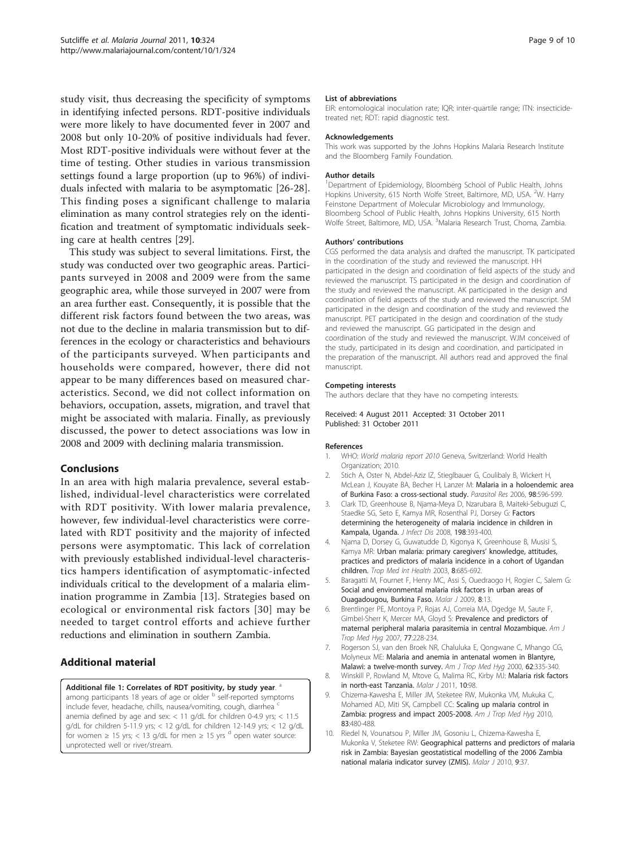<span id="page-8-0"></span>study visit, thus decreasing the specificity of symptoms in identifying infected persons. RDT-positive individuals were more likely to have documented fever in 2007 and 2008 but only 10-20% of positive individuals had fever. Most RDT-positive individuals were without fever at the time of testing. Other studies in various transmission settings found a large proportion (up to 96%) of individuals infected with malaria to be asymptomatic [[26-28](#page-9-0)]. This finding poses a significant challenge to malaria elimination as many control strategies rely on the identification and treatment of symptomatic individuals seeking care at health centres [\[29\]](#page-9-0).

This study was subject to several limitations. First, the study was conducted over two geographic areas. Participants surveyed in 2008 and 2009 were from the same geographic area, while those surveyed in 2007 were from an area further east. Consequently, it is possible that the different risk factors found between the two areas, was not due to the decline in malaria transmission but to differences in the ecology or characteristics and behaviours of the participants surveyed. When participants and households were compared, however, there did not appear to be many differences based on measured characteristics. Second, we did not collect information on behaviors, occupation, assets, migration, and travel that might be associated with malaria. Finally, as previously discussed, the power to detect associations was low in 2008 and 2009 with declining malaria transmission.

## Conclusions

In an area with high malaria prevalence, several established, individual-level characteristics were correlated with RDT positivity. With lower malaria prevalence, however, few individual-level characteristics were correlated with RDT positivity and the majority of infected persons were asymptomatic. This lack of correlation with previously established individual-level characteristics hampers identification of asymptomatic-infected individuals critical to the development of a malaria elimination programme in Zambia [[13\]](#page-9-0). Strategies based on ecological or environmental risk factors [\[30\]](#page-9-0) may be needed to target control efforts and achieve further reductions and elimination in southern Zambia.

## Additional material

[Additional file 1: C](http://www.biomedcentral.com/content/supplementary/1475-2875-10-324-S1.XLS)orrelates of RDT positivity, by study year. <sup>a</sup>

among participants 18 years of age or older <sup>b</sup> self-reported symptoms include fever, headache, chills, nausea/vomiting, cough, diarrhea anemia defined by age and sex: < 11 g/dL for children 0-4.9 yrs; < 11.5 g/dL for children 5-11.9 yrs; < 12 g/dL for children 12-14.9 yrs; < 12 g/dL for women  $\geq$  15 yrs; < 13 g/dL for men  $\geq$  15 yrs  $\sigma$  open water source: unprotected well or river/stream.

#### List of abbreviations

EIR: entomological inoculation rate; IQR: inter-quartile range; ITN: insecticidetreated net; RDT: rapid diagnostic test.

#### Acknowledgements

This work was supported by the Johns Hopkins Malaria Research Institute and the Bloomberg Family Foundation.

#### Author details

<sup>1</sup>Department of Epidemiology, Bloomberg School of Public Health, Johns Hopkins University, 615 North Wolfe Street, Baltimore, MD, USA. <sup>2</sup>W. Harry Feinstone Department of Molecular Microbiology and Immunology, Bloomberg School of Public Health, Johns Hopkins University, 615 North Wolfe Street, Baltimore, MD, USA. <sup>3</sup>Malaria Research Trust, Choma, Zambia

#### Authors' contributions

CGS performed the data analysis and drafted the manuscript. TK participated in the coordination of the study and reviewed the manuscript. HH participated in the design and coordination of field aspects of the study and reviewed the manuscript. TS participated in the design and coordination of the study and reviewed the manuscript. AK participated in the design and coordination of field aspects of the study and reviewed the manuscript. SM participated in the design and coordination of the study and reviewed the manuscript. PET participated in the design and coordination of the study and reviewed the manuscript. GG participated in the design and coordination of the study and reviewed the manuscript. WJM conceived of the study, participated in its design and coordination, and participated in the preparation of the manuscript. All authors read and approved the final manuscript.

#### Competing interests

The authors declare that they have no competing interests.

Received: 4 August 2011 Accepted: 31 October 2011 Published: 31 October 2011

#### References

- 1. WHO: World malaria report 2010 Geneva, Switzerland: World Health Organization; 2010.
- 2. Stich A, Oster N, Abdel-Aziz IZ, Stieglbauer G, Coulibaly B, Wickert H, McLean J, Kouyate BA, Becher H, Lanzer M: [Malaria in a holoendemic area](http://www.ncbi.nlm.nih.gov/pubmed/16416123?dopt=Abstract) [of Burkina Faso: a cross-sectional study.](http://www.ncbi.nlm.nih.gov/pubmed/16416123?dopt=Abstract) Parasitol Res 2006, 98:596-599.
- 3. Clark TD, Greenhouse B, Njama-Meya D, Nzarubara B, Maiteki-Sebuguzi C, Staedke SG, Seto E, Kamya MR, Rosenthal PJ, Dorsey G: [Factors](http://www.ncbi.nlm.nih.gov/pubmed/18522503?dopt=Abstract) [determining the heterogeneity of malaria incidence in children in](http://www.ncbi.nlm.nih.gov/pubmed/18522503?dopt=Abstract) [Kampala, Uganda.](http://www.ncbi.nlm.nih.gov/pubmed/18522503?dopt=Abstract) J Infect Dis 2008, 198:393-400.
- 4. Njama D, Dorsey G, Guwatudde D, Kigonya K, Greenhouse B, Musisi S, Kamya MR: [Urban malaria: primary caregivers](http://www.ncbi.nlm.nih.gov/pubmed/12869089?dopt=Abstract)' knowledge, attitudes, [practices and predictors of malaria incidence in a cohort of Ugandan](http://www.ncbi.nlm.nih.gov/pubmed/12869089?dopt=Abstract) [children.](http://www.ncbi.nlm.nih.gov/pubmed/12869089?dopt=Abstract) Trop Med Int Health 2003, 8:685-692.
- Baragatti M, Fournet F, Henry MC, Assi S, Ouedraogo H, Rogier C, Salem G: [Social and environmental malaria risk factors in urban areas of](http://www.ncbi.nlm.nih.gov/pubmed/19144144?dopt=Abstract) [Ouagadougou, Burkina Faso.](http://www.ncbi.nlm.nih.gov/pubmed/19144144?dopt=Abstract) Malar J 2009, 8:13.
- 6. Brentlinger PE, Montoya P, Rojas AJ, Correia MA, Dgedge M, Saute F, Gimbel-Sherr K, Mercer MA, Gloyd S: [Prevalence and predictors of](http://www.ncbi.nlm.nih.gov/pubmed/17690391?dopt=Abstract) [maternal peripheral malaria parasitemia in central Mozambique.](http://www.ncbi.nlm.nih.gov/pubmed/17690391?dopt=Abstract) Am J Trop Med Hyg 2007, 77:228-234.
- 7. Rogerson SJ, van den Broek NR, Chaluluka E, Qongwane C, Mhango CG, Molyneux ME: [Malaria and anemia in antenatal women in Blantyre,](http://www.ncbi.nlm.nih.gov/pubmed/11037774?dopt=Abstract) [Malawi: a twelve-month survey.](http://www.ncbi.nlm.nih.gov/pubmed/11037774?dopt=Abstract) Am J Trop Med Hyg 2000, 62:335-340.
- 8. Winskill P, Rowland M, Mtove G, Malima RC, Kirby MJ: [Malaria risk factors](http://www.ncbi.nlm.nih.gov/pubmed/21507217?dopt=Abstract) [in north-east Tanzania.](http://www.ncbi.nlm.nih.gov/pubmed/21507217?dopt=Abstract) Malar J 2011, 10:98.
- 9. Chizema-Kawesha E, Miller JM, Steketee RW, Mukonka VM, Mukuka C, Mohamed AD, Miti SK, Campbell CC: [Scaling up malaria control in](http://www.ncbi.nlm.nih.gov/pubmed/20810807?dopt=Abstract) [Zambia: progress and impact 2005-2008.](http://www.ncbi.nlm.nih.gov/pubmed/20810807?dopt=Abstract) Am J Trop Med Hyg 2010, 83:480-488.
- 10. Riedel N, Vounatsou P, Miller JM, Gosoniu L, Chizema-Kawesha E, Mukonka V, Steketee RW: [Geographical patterns and predictors of malaria](http://www.ncbi.nlm.nih.gov/pubmed/20122148?dopt=Abstract) [risk in Zambia: Bayesian geostatistical modelling of the 2006 Zambia](http://www.ncbi.nlm.nih.gov/pubmed/20122148?dopt=Abstract) [national malaria indicator survey \(ZMIS\).](http://www.ncbi.nlm.nih.gov/pubmed/20122148?dopt=Abstract) Malar J 2010, 9:37.